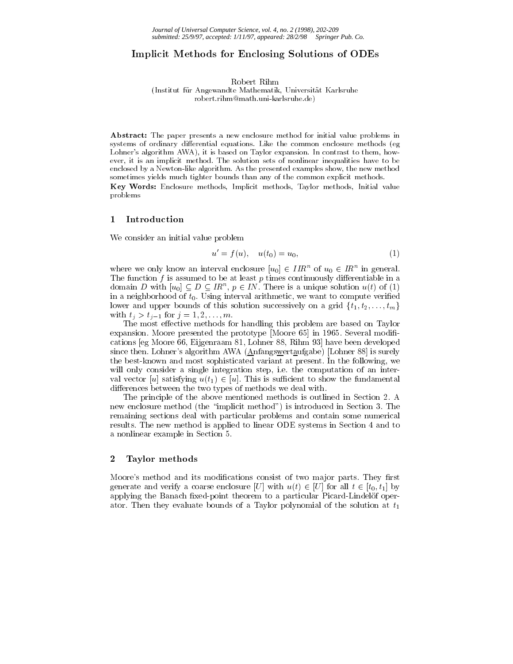# Implicit Methods for Enclosing Solutions of ODEs

Robert Rihm

(Institut fur Angewandte Mathematik, Universitat Karlsruhe robert.rihm@math.uni-karlsruhe.de)

Abstract: The paper presents a new enclosure method for initial value problems in systems of ordinary differential equations. Like the common enclosure methods (eg Lohner's algorithm AWA), it is based on Taylor expansion. In contrast to them, how ever, it is an implicit method. The solution sets of nonlinear inequalities have to be enclosed by a Newton-like algorithm. As the presented examples show, the new method sometimes yields much tighter bounds than any of the common explicit methods.

Key Words: Enclosure methods, Implicit methods, Taylor methods, Initial value problems

### 1 Introduction

We consider an initial value problem

$$
u' = f(u), \quad u(t_0) = u_0,\tag{1}
$$

where we only know an interval enclosure  $[u_0] \in HR^{\sim}$  of  $u_0 \in IR^{\sim}$  in general. The function  $f$  is assumed to be at least  $p$  times continuously differentiable in a domain D with  $[u_0] \subseteq D \subseteq IR^+, p \in IN$ . There is a unique solution  $u(t)$  of (1) in a neighborhood of  $t_0$ . Using interval arithmetic, we want to compute verified lower and upper bounds of this solution successively on a grid  $\{t_1, t_2, \ldots, t_m\}$ with  $t_j > t_{j-1}$  for  $j = 1, 2, ..., m$ .

The most effective methods for handling this problem are based on Taylor expansion. Moore presented the prototype [Moore 65] in 1965. Several modifications [eg Moore 66, Eijgenraam 81, Lohner 88, Rihm 93] have been developed since then. Lohner's algorithm AWA (Anfangswertaufgabe) [Lohner 88] is surely the best-known and most sophisticated variant at present. In the following, we will only consider a single integration step, i.e. the computation of an interval vector  $\mathbf{u}(t)$  is such that is such that fundamental uncertainty the fundamental such that fundamental  $\mathbf{u}(t)$ differences between the two types of methods we deal with.

The principle of the above mentioned methods is outlined in Section 2. A new enclosure method (the \implicit method") is introduced in Section 3. The remaining sections deal with particular problems and contain some numerical results. The new method is applied to linear ODE systems in Section 4 and to a nonlinear example in Section 5.

## 2 Taylor methods

Moore's method and its modifications consist of two major parts. They first generate and verify a coarse enclosure  $\Gamma$  is the u(t) 2 [U] for all t 2 [t0; t1] by applying the Banach fixed-point theorem to a particular Picard-Lindelöf operator. Then they evaluate bounds of a Taylor polynomial of the solution at  $t_1$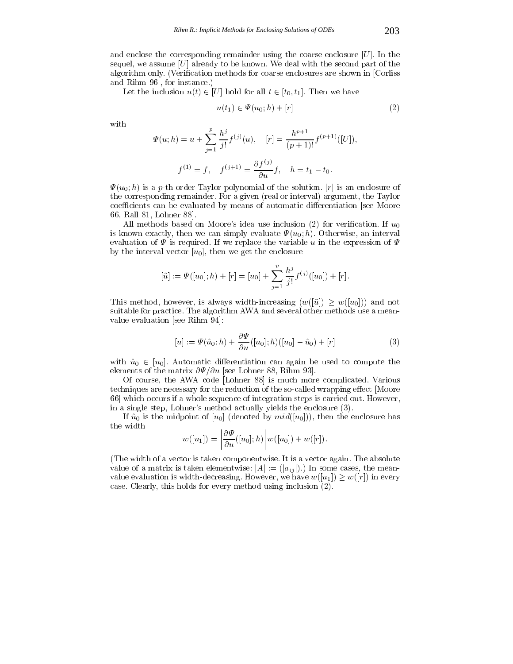and enclose the corresponding remainder using the coarse enclosure  $[U]$ . In the sequel, we assume  $[U]$  already to be known. We deal with the second part of the algorithm only. (Verication methods for coarse enclosures are shown in [Corliss and Rihm 96], for instance.)

Let the inclusion u(t) 2 [U] hold for all t 2 [t0; t1]. There we have  $\alpha$ 

$$
u(t_1) \in \Psi(u_0; h) + [r] \tag{2}
$$

with

$$
\Psi(u; h) = u + \sum_{j=1}^{p} \frac{h^j}{j!} f^{(j)}(u), \quad [r] = \frac{h^{p+1}}{(p+1)!} f^{(p+1)}([U]),
$$

$$
f^{(1)} = f, \quad f^{(j+1)} = \frac{\partial f^{(j)}}{\partial u} f, \quad h = t_1 - t_0.
$$

 $\Psi(u_0; h)$  is a p-th order Taylor polynomial of the solution. [r] is an enclosure of the corresponding remainder. For a given (real or interval) argument, the Taylor coefficients can be evaluated by means of automatic differentiation [see Moore 66, Rall 81, Lohner 88].

All methods based on Moore's idea use inclusion (2) for verification. If  $u_0$ is known exactly, then we can simply evaluate  $\Psi(u_0; h)$ . Otherwise, an interval evaluation of  $\Psi$  is required. If we replace the variable u in the expression of  $\Psi$ by the interval vector  $[u_0]$ , then we get the enclosure

$$
[\tilde{u}] := \Psi([u_0]; h) + [r] = [u_0] + \sum_{j=1}^p \frac{h^j}{j!} f^{(j)}([u_0]) + [r].
$$

This method, is always with  $\alpha$  is always width-increasing (w([c])  $\equiv$  and  $\alpha$  ([u0])) and not not suitable for practice. The algorithm AWA and several other methods use a mean value evaluation [see Rihm 94]:

$$
[u] := \Psi(\hat{u}_0; h) + \frac{\partial \Psi}{\partial u}([u_0]; h)([u_0] - \hat{u}_0) + [r]
$$
 (3)

with upper units under the unit of the unit of the unit of the unit of the unit of the unit of the unit of the u elements of the matrix  $\partial \Psi / \partial u$  [see Lohner 88, Rihm 93].

Of course, the AWA code [Lohner 88] is much more complicated. Various techniques are necessary for the reduction of the so-called wrapping effect [Moore 66] which occurs if a whole sequence of integration steps is carried out. However, in a single step, Lohner's method actually yields the enclosure (3).

If  $\hat{u}_0$  is the midpoint of  $[u_0]$  (denoted by  $mid([u_0]))$ , then the enclosure has the width . . . . the contract of the contract of the contract of the contract of the contract of

$$
w([u_1]) = \left|\frac{\partial \Psi}{\partial u}([u_0];h)\right| w([u_0]) + w([r]).
$$

(The width of a vector is taken componentwise. It is a vector again. The absolute value of a matrix is taken elementwise:  $|A| := (|a_{ij}|)$ .) In some cases, the mean- $\mathbf{v}$  is we have we have we have we have we have we have we have we have we have we have we have we have we case. Clearly, this holds for every method using inclusion (2).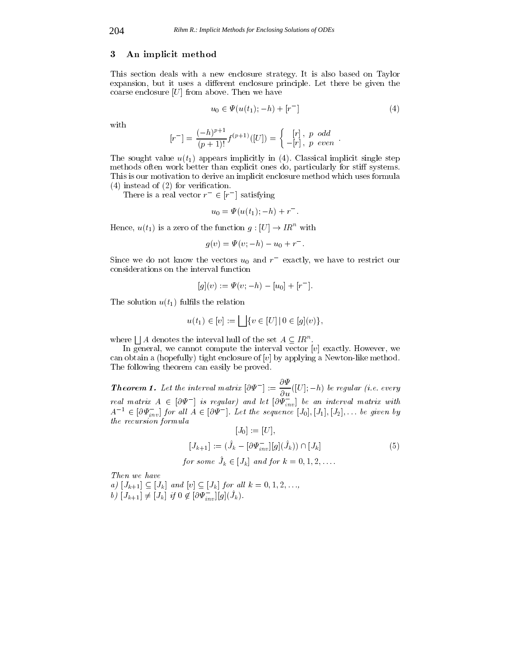### 3 An implicit method

This section deals with a new enclosure strategy. It is also based on Taylor expansion, but it uses a different enclosure principle. Let there be given the coarse enclosure  $[U]$  from above. Then we have

$$
u_0 \in \Psi(u(t_1); -h) + [r^-]
$$
\n(4)

with

$$
[r^-] = \frac{(-h)^{p+1}}{(p+1)!} f^{(p+1)}([U]) = \begin{cases} [r], & p \text{ odd} \\ -[r], & p \text{ even} \end{cases}.
$$

The sought value  $u(t_1)$  appears implicitly in (4). Classical implicit single step methods often work better than explicit ones do, particularly for stiff systems. This is our motivation to derive an implicit enclosure method which uses formula  $(4)$  instead of  $(2)$  for verification.

There is a real vector  $r \in [r]$  satisfying

$$
u_0 = \Psi(u(t_1); -h) + r^-.
$$

Hence,  $u(t_1)$  is a zero of the function  $g: [U] \to IR^{\alpha}$  with

$$
g(v) = \Psi(v; -h) - u_0 + r^-.
$$

Since we do not know the vectors  $u_0$  and  $r$  –exactly, we have to restrict our considerations on the interval function

$$
[g](v) := \Psi(v; -h) - [u_0] + [r^-].
$$

The solution  $u(t_1)$  fulfils the relation

$$
u(t_1) \in [v] := \bigsqcup \{ v \in [U] \, | \, 0 \in [g](v) \},
$$

where  $\iint A$  denotes the interval hull of the set  $A \subseteq \mathbb{R}^n$ .

In general, we cannot compute the interval vector  $[v]$  exactly. However, we can obtain a (hopefully) tight enclosure of  $[v]$  by applying a Newton-like method. The following theorem can easily be proved.

**Theorem 1.** Let the interval matrix  $[\partial \Psi^-] := \frac{\partial u}{\partial u} (|U|; -h)$  be regular (i.e. every real matrix  $A \in [\partial \Psi]$  is regular) and let  $[\partial \Psi_{inv}]$  be an interval matrix with  $A^{-1} \in [\partial \Psi_{inv}]$  for all  $A \in [\partial \Psi]$ . Let the sequence  $[J_0], [J_1], [J_2], \ldots$  be given by the recursion formula $\mathbf{r}$   $\mathbf{r}$   $\mathbf{r}$  $[\mathbf{r}\mathbf{r}]$ 

$$
[J_0] := [U],
$$
  
\n
$$
[J_{k+1}] := (\hat{J}_k - [\partial \Psi_{inv}^-][g](\hat{J}_k)) \cap [J_k]
$$
  
\nfor some  $\hat{J}_k \in [J_k]$  and for  $k = 0, 1, 2, ...$  (5)

Then we have

 $a_j$  [J<sub>k+1]</sub>  $\subseteq$  [J<sub>k</sub>] and [v]  $\subseteq$  [J<sub>k</sub>] for an  $\kappa = 0, 1, 2, \ldots,$  $\delta$ )  $[J_{k+1}] \neq [J_k]$  if  $0 \notin [O\Psi_{inv}][g](J_k)$ .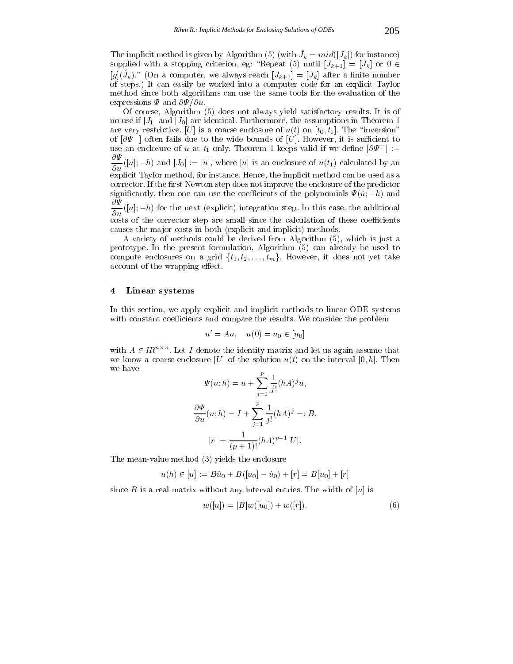The implicit method is given by Algorithm (5) (with  $J_k = m \alpha(|J_k|)$  for instance) supplied with a stopping criterion, equation, equation, equation, equation, equation, equation, equation, equation,  $\Gamma$  $|g|$  (Jk). The a computer, we always reach  $|J_{k+1}|=|J_k|$  after a ninte number of steps.) It can easily be worked into a computer code for an explicit Taylor method since both algorithms can use the same tools for the evaluation of the expressions  $\Psi$  and  $\partial \Psi / \partial u$ .

Of course, Algorithm (5) does not always yield satisfactory results. It is of no use if  $[J_1]$  and  $[J_0]$  are identical. Furthermore, the assumptions in Theorem 1 are very restrictive. [U] is a coarse enclosure of  $u(t)$  on  $[t_0, t_1]$ . The "inversion" of  $|\sigma \Psi|$  around fails due to the wide bounds of  $|\sigma|$ . However, it is sumplement to use an enclosure of u at  $t_1$  only. Theorem I keeps valid if we define  $|{\mathcal O}\Psi^-|:=$  $\overline{\partial u}([u];-h)$  and  $[J_0]:=[u],$  where  $[u]$  is an enclosure of  $u(t_1)$  calculated by an explicit Taylor method, for instance. Hence, the implicit method can be used as a corrector. If the first Newton step does not improve the enclosure of the predictor significantly, then one can use the coefficients of the polynomials  $\Psi(\hat{u}; -h)$  and  $\frac{d}{du}([u]; -h)$  for the next (explicit) integration step. In this case, the additional  $\tilde{\text{costs}}$  of the corrector step are small since the calculation of these coefficients causes the major costs in both (explicit and implicit) methods.

A variety of methods could be derived from Algorithm (5), which is just a prototype. In the present formulation, Algorithm (5) can already be used to compute enclosures on a grid function of the grid function of the grid function of take  $\omega$ account of the wrapping effect.

### 4 Linear systems

In this section, we apply explicit and implicit methods to linear ODE systems with constant coefficients and compare the results. We consider the problem

$$
u' = Au
$$
,  $u(0) = u_0 \in [u_0]$ 

with  $A \in IR^{m \times n}$ . Let I denote the identity matrix and let us again assume that we know a coarse enclosure [U] of the solution  $u(t)$  on the interval [0, h]. Then we have

$$
\Psi(u; h) = u + \sum_{j=1}^{r} \frac{1}{j!} (hA)^j u,
$$

$$
\frac{\partial \Psi}{\partial u}(u; h) = I + \sum_{j=1}^{p} \frac{1}{j!} (hA)^j =: B,
$$

$$
[r] = \frac{1}{(p+1)!} (hA)^{p+1} [U].
$$

The mean-value method (3) yields the enclosure

$$
u(h) \in [u] := B\hat{u}_0 + B([u_0] - \hat{u}_0) + [r] = B[u_0] + [r]
$$

since B is a real matrix without any interval entries. The width of  $[u]$  is

$$
w([u]) = |B|w([u_0]) + w([r]).
$$
\n(6)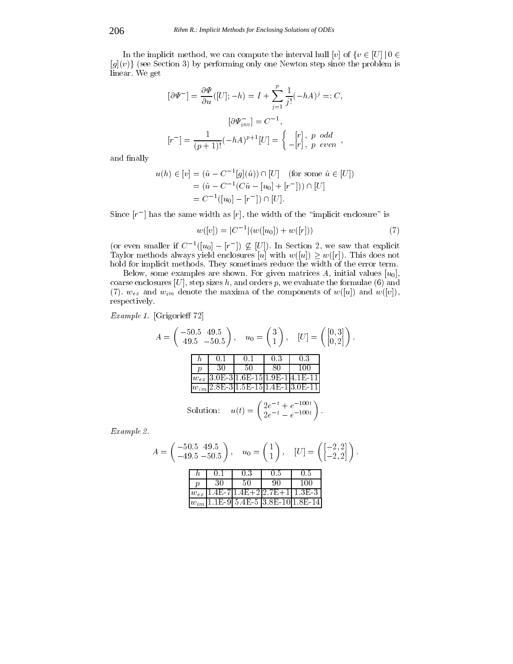In the implicit method, we can compute the interval hull [v] of  $\{v \in [U] \mid 0 \in$  $[g](v)$  (see Section 3) by performing only one Newton step since the problem is linear. We get

$$
[\partial \Psi^-] = \frac{\partial \Psi}{\partial u} ([U]; -h) = I + \sum_{j=1}^p \frac{1}{j!} (-hA)^j =: C,
$$
  

$$
[\partial \Psi^-_{inv}] = C^{-1},
$$
  

$$
[r^-] = \frac{1}{(p+1)!} (-hA)^{p+1} [U] = \left\{ -\begin{bmatrix} r \\ -r \end{bmatrix}, \begin{array}{cc} p & odd \\ p & even \end{array} \right\},
$$

and finally

$$
u(h) \in [v] = (\hat{u} - C^{-1}[g](\hat{u})) \cap [U] \quad \text{(for some } \hat{u} \in [U])
$$

$$
= (\hat{u} - C^{-1}(C\hat{u} - [u_0] + [r^-])) \cap [U]
$$

$$
= C^{-1}([u_0] - [r^-]) \cap [U].
$$

 $\mathop{\rm Sine}\nolimits$   $\vert r\vert$  has the same width as  $\vert r\vert$ , the width of the  $\vert$ implicit enclosure is

$$
w([v]) = |C^{-1}|(w([u_0]) + w([r]))
$$
\n(7)

(or even smaller if  $C^{-1}([u_0] - [r]) \nsubseteq [U])$ . In Section 2, we saw that explicit Taylor methods always yield enclosures  $\alpha$  and we have  $\alpha$  (up). This does not not not not not not not not hold for implicit methods. They sometimes reduce the width of the error term.

Below, some examples are shown. For given matrices A, initial values  $[u_0]$ , coarse enclosures [U], step sizes h, and orders p, we evaluate the formulae (6) and (7).  $w_{ex}$  and  $w_{im}$  denote the maxima of the components of  $w([u])$  and  $w([v])$ , respectively.

 $Example 1.$  [Grigorie 72]

A = 50:5 49:5 49:5 50:5 ; u0 <sup>=</sup> 3 1 ; [U] = [0; 3] [0; 2] h 0.1 0.1 0.3 0.3 p 30 50 80 100 wex 3.0E-3 1.6E-15 1.9E-1 4.1E-11 wim 2.8E-3 1.5E-15 1.4E-1 3.0E-11 Solution: u(t) = 2et + e100t 2et e100t

Example 2.

$$
A = \begin{pmatrix} -50.5 & 49.5 \\ -49.5 & -50.5 \end{pmatrix}, \quad u_0 = \begin{pmatrix} 1 \\ 1 \end{pmatrix}, \quad [U] = \begin{pmatrix} [-2, 2] \\ [-2, 2] \end{pmatrix}.
$$
  

$$
\begin{array}{c|ccccc}\nh & 0.1 & 0.3 & 0.5 & 0.5 \\ \hline\np & 30 & 50 & 90 & 100 \\ \hline\nw_{ex} & 1.4E-7 & 1.4E+2 & 2.7E+1 & 1.3E-3 \\ \hline\nw_{im} & 1.1E-9 & 5.4E-5 & 3.8E-10 & 1.8E-14 \end{array}
$$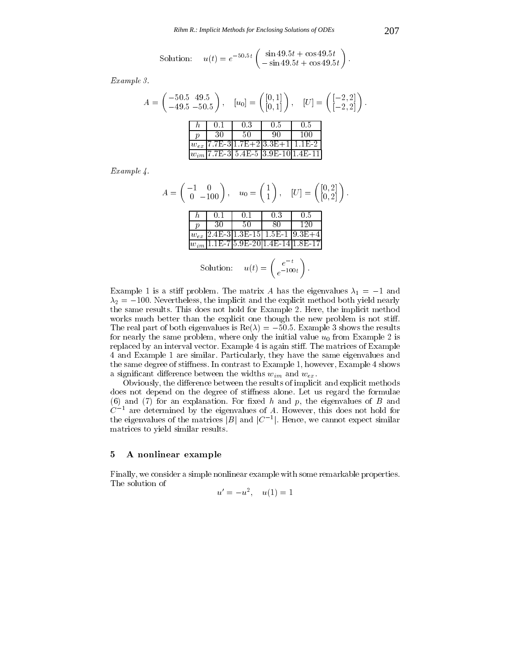Solution: 
$$
u(t) = e^{-50.5t} \begin{pmatrix} \sin 49.5t + \cos 49.5t \\ -\sin 49.5t + \cos 49.5t \end{pmatrix}
$$
.

Example 3.

$$
A = \begin{pmatrix} -50.5 & 49.5 \\ -49.5 & -50.5 \end{pmatrix}, \quad [u_0] = \begin{pmatrix} [0,1] \\ [0,1] \end{pmatrix}, \quad [U] = \begin{pmatrix} [-2,2] \\ [-2,2] \end{pmatrix}.
$$
  
  

$$
\begin{array}{c|ccccc}\nh & 0.1 & 0.3 & 0.5 & 0.5 \\ \hline p & 30 & 50 & 90 & 100 \\ \hline w_{ex} & 7.7\text{E-}3 & 1.7\text{E+}2 & 3.3\text{E+}1 & 1.1\text{E-}2 \\ \hline w_{im} & 7.7\text{E-}3 & 5.4\text{E-}5 & 3.9\text{E-}10 & 1.4\text{E-}11 \end{array}
$$

Example 4.

A = 1 0 0 100 ; u0 <sup>=</sup> 1 1 ; [U] = [0; 2] [0; 2] h 0.1 0.1 0.3 0.5 p 30 50 80 120 wex 2.4E-3 1.3E-15 1.5E-1 9.3E+4 wim 1.1E-7 5.9E-20 1.4E-14 1.8E-17 Solution: u(t) = et e100t

Example 1 is a stiff problem. The matrix A has the eigenvalues  $\lambda_1 = -1$  and  $2$  and in the intersection of the implicit and the explicit method both  $\sigma$  and  $\sigma$  and  $\sigma$ the same results. This does not hold for Example 2. Here, the implicit method works much better than the explicit one though the new problem is not stiff. The real part of both eigenvalues is  $\mathbf{F}$  shows the results is  $\mathbf{F}$ for nearly the same problem, where only the initial value  $u_0$  from Example 2 is replaced by an interval vector. Example 4 is again stiff. The matrices of Example 4 and Example 1 are similar. Particularly, they have the same eigenvalues and the same degree of stiffness. In contrast to Example 1, however, Example 4 shows a significant difference between the widths  $w_{im}$  and  $w_{ex}$ .

Obviously, the difference between the results of implicit and explicit methods does not depend on the degree of stiffness alone. Let us regard the formulae (6) and  $(7)$  for an explanation. For fixed h and p, the eigenvalues of B and  $C^{-1}$  are determined by the eigenvalues of A. However, this does not hold for the eigenvalues of the matrices  $|B|$  and  $|C|^{-1}$ . Hence, we cannot expect similar matrices to yield similar results.

### 5 A nonlinear example

Finally, we consider a simple nonlinear example with some remarkable properties. The solution of

$$
u' = -u^2, \quad u(1) = 1
$$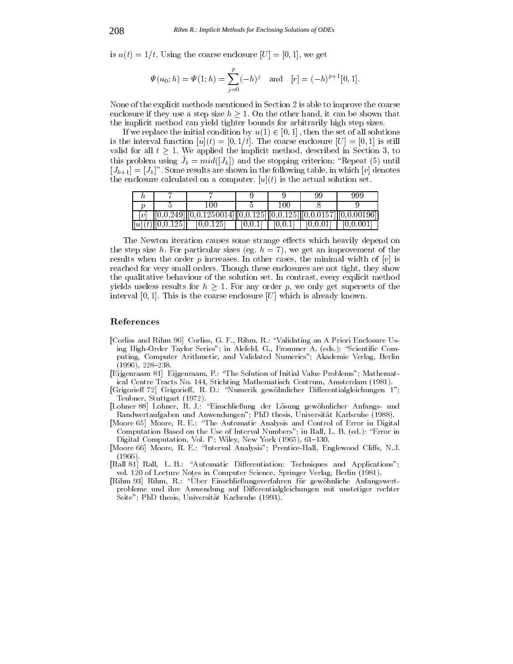is  $u(t)=1/t$ . Using the coarse enclosure  $[U] = [0, 1]$ , we get

$$
\Psi(u_0; h) = \Psi(1; h) = \sum_{j=0}^p (-h)^j
$$
 and  $[r] = (-h)^{p+1}[0, 1].$ 

None of the explicit methods mentioned in Section 2 is able to improve the coarse enclosure if they use a step size hand, it  $\equiv$  the other hand, it can be shown that we show that the implicit method can yield tighter bounds for arbitrarily high step sizes.

If we replace the initial condition by u(1)  $\mathbb{I}$  , then the set of all solutions of all solutions of all solutions of all solutions of all solutions of all solutions of all solutions of all solutions of all solutions is the interval function  $[u](t) = [0, 1/t]$ . The coarse enclosure  $[U] = [0, 1]$  is still valid for all the implicit the implicit method, despited in Section 3, to consider the indicated in Section 3, this problem using  $J_k = ma(|J_k|)$  and the stopping criterion. Repeat (5) until  $[J_{k+1}]=[J_k]$ ". Some results are shown in the following table, in which [v] denotes the enclosure calculated on a computer.  $[u](t)$  is the actual solution set.

|                   |                                 |     |                                                                                                                    | 999       |
|-------------------|---------------------------------|-----|--------------------------------------------------------------------------------------------------------------------|-----------|
|                   |                                 | -00 |                                                                                                                    |           |
| $\lceil n \rceil$ |                                 |     |                                                                                                                    |           |
|                   | $[[u](t)][0,0.125]$ $[0,0.125]$ |     | $\begin{bmatrix} 0.0.1 \end{bmatrix}$ $\begin{bmatrix} 0.0.1 \end{bmatrix}$ $\begin{bmatrix} 0.0.01 \end{bmatrix}$ | [0.0.001] |

The Newton iteration causes some strange effects which heavily depend on the step size h. For particular sizes (eg.  $h = 7$ ), we get an improvement of the results when the order  $p$  increases. In other cases, the minimal width of  $[v]$  is reached for very small orders. Though these enclosures are not tight, they show the qualitative behaviour of the solution set. In contrast, every explicit method  $\omega$  as any order p, we only get supersets for any order p, we only get supersets of the theorem p, we only get supersets of the theorem p, we only get supersets of the theorem p, we only get supersets of the theorem p, w interval [0, 1]. This is the coarse enclosure [U] which is already known.

### References

- [Corliss and Rihm 96] Corliss, G. F., Rihm, R.: "Validating an A Priori Enclosure Using High-Order Taylor Series"; in Alefeld, G., Frommer A. (eds.): "Scientific Computing, Computer Arithmetic, and Validated Numerics"; Akademie Verlag, Berlin  $(1996), 228 - 238.$
- [Eijgenraam 81] Eijgenraam, P.: \The Solution of Initial Value Problems"; Mathematical Centre Tracts No. 144, Stichting Mathematisch Centrum, Amsterdam (1981).
- [Grigorieff 72] Grigorieff, R. D.: "Numerik gewöhnlicher Differentialgleichungen 1"; Teubner, Stuttgart (1972).
- $\mathbb{R}$  , and  $\mathbb{R}$  are all  $\mathbb{R}$  denotes the Losung gewohnlicher Antarcher Anfangs- und der Losung gewohnliche Anfangs- und der Losung gewohnliche Anfangs- und der Losung gewohnliche Anfangs- und der Losung gewohn Randwertaufgaben und Anwendungen"; PhD thesis, Universitat Karlsruhe (1988).
- [Moore 65] Moore, R. E.: "The Automatic Analysis and Control of Error in Digital Computation Based on the Use of Interval Numbers"; in Rall, L. B. (ed.): \Error in Digital Computation, Vol. I"; Wiley, New York (1965), 61-130.
- [Moore 66] Moore, R. E.: "Interval Analysis"; Prentice-Hall, Englewood Cliffs, N.J.  $(1966)$  $\lambda = -1$
- [Rall 81] Rall, L. B.: "Automatic Differentiation: Techniques and Applications"; vol. 120 of Lecture Notes in Computer Science, Springer Verlag, Berlin (1981).
- [Rihm 93] Rihm, R.: "Über Einschließungsverfahren für gewöhnliche Anfangswertprobleme und ihre Anwendung auf Dierentialgleichungen mit unstetiger rechter Seite"; PhD thesis, Universitat Karlsruhe (1993).